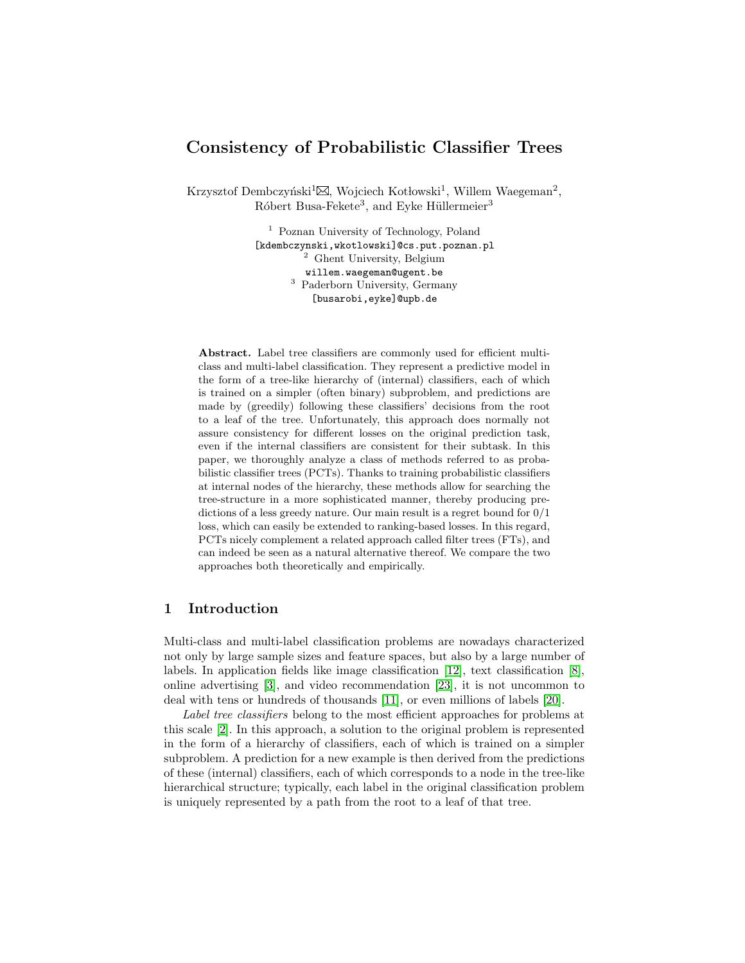# Consistency of Probabilistic Classifier Trees

Krzysztof Dembczyński<sup>1</sup> $\boxtimes$ , Wojciech Kotłowski<sup>1</sup>, Willem Waegeman<sup>2</sup>, Róbert Busa-Fekete<sup>3</sup>, and Eyke Hüllermeier<sup>3</sup>

> <sup>1</sup> Poznan University of Technology, Poland [kdembczynski,wkotlowski]@cs.put.poznan.pl <sup>2</sup> Ghent University, Belgium willem.waegeman@ugent.be <sup>3</sup> Paderborn University, Germany [busarobi,eyke]@upb.de

Abstract. Label tree classifiers are commonly used for efficient multiclass and multi-label classification. They represent a predictive model in the form of a tree-like hierarchy of (internal) classifiers, each of which is trained on a simpler (often binary) subproblem, and predictions are made by (greedily) following these classifiers' decisions from the root to a leaf of the tree. Unfortunately, this approach does normally not assure consistency for different losses on the original prediction task, even if the internal classifiers are consistent for their subtask. In this paper, we thoroughly analyze a class of methods referred to as probabilistic classifier trees (PCTs). Thanks to training probabilistic classifiers at internal nodes of the hierarchy, these methods allow for searching the tree-structure in a more sophisticated manner, thereby producing predictions of a less greedy nature. Our main result is a regret bound for 0/1 loss, which can easily be extended to ranking-based losses. In this regard, PCTs nicely complement a related approach called filter trees (FTs), and can indeed be seen as a natural alternative thereof. We compare the two approaches both theoretically and empirically.

## 1 Introduction

Multi-class and multi-label classification problems are nowadays characterized not only by large sample sizes and feature spaces, but also by a large number of labels. In application fields like image classification [\[12\]](#page-15-0), text classification [\[8\]](#page-15-1), online advertising [\[3\]](#page-15-2), and video recommendation [\[23\]](#page-15-3), it is not uncommon to deal with tens or hundreds of thousands [\[11\]](#page-15-4), or even millions of labels [\[20\]](#page-15-5).

Label tree classifiers belong to the most efficient approaches for problems at this scale [\[2\]](#page-15-6). In this approach, a solution to the original problem is represented in the form of a hierarchy of classifiers, each of which is trained on a simpler subproblem. A prediction for a new example is then derived from the predictions of these (internal) classifiers, each of which corresponds to a node in the tree-like hierarchical structure; typically, each label in the original classification problem is uniquely represented by a path from the root to a leaf of that tree.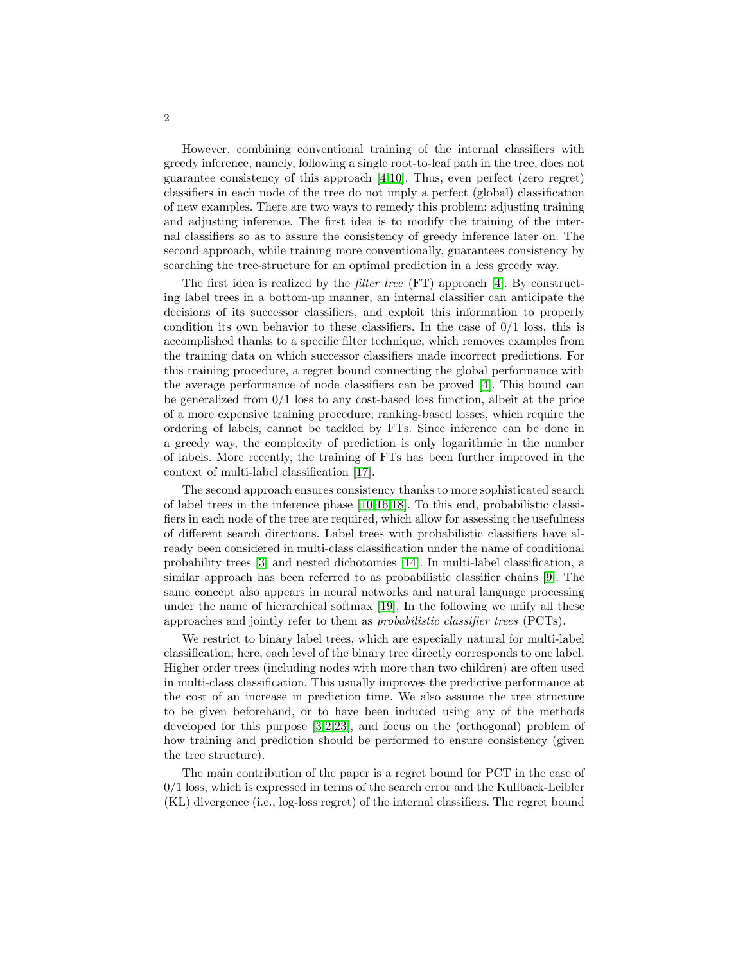However, combining conventional training of the internal classifiers with greedy inference, namely, following a single root-to-leaf path in the tree, does not guarantee consistency of this approach [\[4,](#page-15-7)[10\]](#page-15-8). Thus, even perfect (zero regret) classifiers in each node of the tree do not imply a perfect (global) classification of new examples. There are two ways to remedy this problem: adjusting training and adjusting inference. The first idea is to modify the training of the internal classifiers so as to assure the consistency of greedy inference later on. The second approach, while training more conventionally, guarantees consistency by searching the tree-structure for an optimal prediction in a less greedy way.

The first idea is realized by the filter tree (FT) approach [\[4\]](#page-15-7). By constructing label trees in a bottom-up manner, an internal classifier can anticipate the decisions of its successor classifiers, and exploit this information to properly condition its own behavior to these classifiers. In the case of  $0/1$  loss, this is accomplished thanks to a specific filter technique, which removes examples from the training data on which successor classifiers made incorrect predictions. For this training procedure, a regret bound connecting the global performance with the average performance of node classifiers can be proved [\[4\]](#page-15-7). This bound can be generalized from 0/1 loss to any cost-based loss function, albeit at the price of a more expensive training procedure; ranking-based losses, which require the ordering of labels, cannot be tackled by FTs. Since inference can be done in a greedy way, the complexity of prediction is only logarithmic in the number of labels. More recently, the training of FTs has been further improved in the context of multi-label classification [\[17\]](#page-15-9).

The second approach ensures consistency thanks to more sophisticated search of label trees in the inference phase [\[10](#page-15-8)[,16,](#page-15-10)[18\]](#page-15-11). To this end, probabilistic classifiers in each node of the tree are required, which allow for assessing the usefulness of different search directions. Label trees with probabilistic classifiers have already been considered in multi-class classification under the name of conditional probability trees [\[3\]](#page-15-2) and nested dichotomies [\[14\]](#page-15-12). In multi-label classification, a similar approach has been referred to as probabilistic classifier chains [\[9\]](#page-15-13). The same concept also appears in neural networks and natural language processing under the name of hierarchical softmax [\[19\]](#page-15-14). In the following we unify all these approaches and jointly refer to them as probabilistic classifier trees (PCTs).

We restrict to binary label trees, which are especially natural for multi-label classification; here, each level of the binary tree directly corresponds to one label. Higher order trees (including nodes with more than two children) are often used in multi-class classification. This usually improves the predictive performance at the cost of an increase in prediction time. We also assume the tree structure to be given beforehand, or to have been induced using any of the methods developed for this purpose [\[3,](#page-15-2)[2](#page-15-6)[,23\]](#page-15-3), and focus on the (orthogonal) problem of how training and prediction should be performed to ensure consistency (given the tree structure).

The main contribution of the paper is a regret bound for PCT in the case of 0/1 loss, which is expressed in terms of the search error and the Kullback-Leibler (KL) divergence (i.e., log-loss regret) of the internal classifiers. The regret bound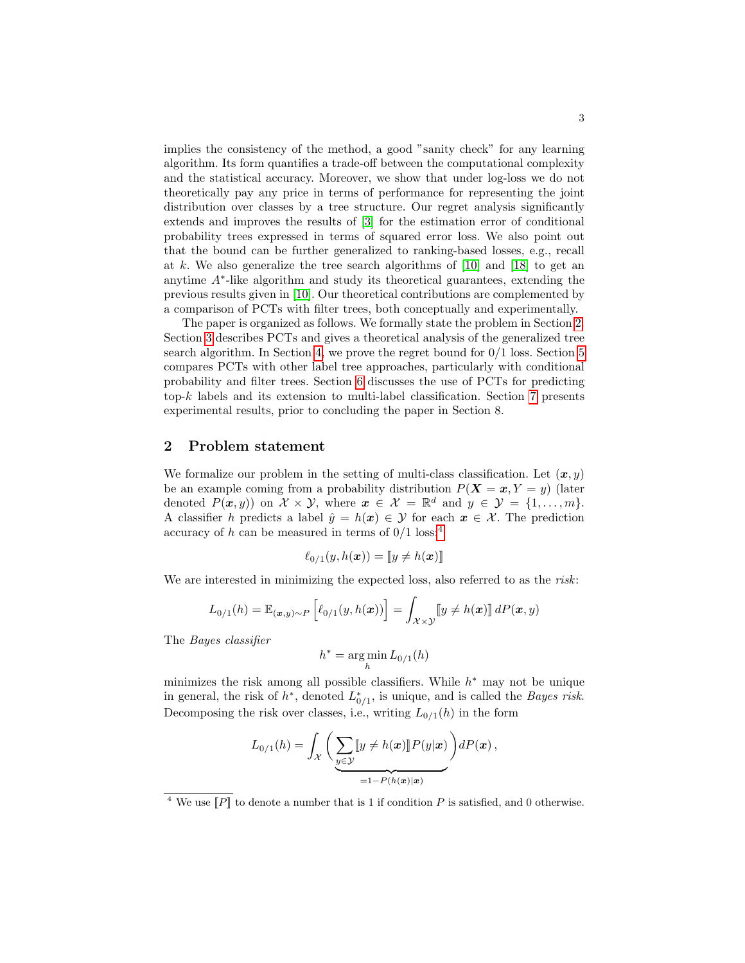implies the consistency of the method, a good "sanity check" for any learning algorithm. Its form quantifies a trade-off between the computational complexity and the statistical accuracy. Moreover, we show that under log-loss we do not theoretically pay any price in terms of performance for representing the joint distribution over classes by a tree structure. Our regret analysis significantly extends and improves the results of [\[3\]](#page-15-2) for the estimation error of conditional probability trees expressed in terms of squared error loss. We also point out that the bound can be further generalized to ranking-based losses, e.g., recall at k. We also generalize the tree search algorithms of  $[10]$  and  $[18]$  to get an anytime A<sup>∗</sup> -like algorithm and study its theoretical guarantees, extending the previous results given in [\[10\]](#page-15-8). Our theoretical contributions are complemented by a comparison of PCTs with filter trees, both conceptually and experimentally.

The paper is organized as follows. We formally state the problem in Section [2.](#page-2-0) Section [3](#page-3-0) describes PCTs and gives a theoretical analysis of the generalized tree search algorithm. In Section [4,](#page-7-0) we prove the regret bound for  $0/1$  loss. Section [5](#page-10-0) compares PCTs with other label tree approaches, particularly with conditional probability and filter trees. Section [6](#page-11-0) discusses the use of PCTs for predicting top- $k$  labels and its extension to multi-label classification. Section [7](#page-11-1) presents experimental results, prior to concluding the paper in Section 8.

### <span id="page-2-0"></span>2 Problem statement

We formalize our problem in the setting of multi-class classification. Let  $(x, y)$ be an example coming from a probability distribution  $P(X = x, Y = y)$  (later denoted  $P(x, y)$  on  $\mathcal{X} \times \mathcal{Y}$ , where  $x \in \mathcal{X} = \mathbb{R}^d$  and  $y \in \mathcal{Y} = \{1, \ldots, m\}.$ A classifier h predicts a label  $\hat{y} = h(x) \in \mathcal{Y}$  for each  $x \in \mathcal{X}$ . The prediction accuracy of h can be measured in terms of  $0/1$  loss:<sup>[4](#page-2-1)</sup>

$$
\ell_{0/1}(y, h(\boldsymbol{x})) = [\![y \neq h(\boldsymbol{x})]\!]
$$

We are interested in minimizing the expected loss, also referred to as the *risk*:

$$
L_{0/1}(h) = \mathbb{E}_{(\boldsymbol{x},y)\sim P}\left[\ell_{0/1}(y,h(\boldsymbol{x}))\right] = \int_{\mathcal{X}\times\mathcal{Y}} [\![y \neq h(\boldsymbol{x})]\!] \, dP(\boldsymbol{x},y)
$$

The Bayes classifier

$$
h^* = \argmin_h L_{0/1}(h)
$$

minimizes the risk among all possible classifiers. While  $h^*$  may not be unique in general, the risk of  $h^*$ , denoted  $L_{0/1}^*$ , is unique, and is called the *Bayes risk*. Decomposing the risk over classes, i.e., writing  $L_{0/1}(h)$  in the form

$$
L_{0/1}(h) = \int_{\mathcal{X}} \bigg( \underbrace{\sum_{y \in \mathcal{Y}} [y \neq h(\boldsymbol{x})] P(y|\boldsymbol{x})}_{=1 - P(h(\boldsymbol{x})|\boldsymbol{x})} \bigg) dP(\boldsymbol{x}),
$$

<span id="page-2-1"></span> $\overline{4 \text{ We use } \|P\|}$  to denote a number that is 1 if condition P is satisfied, and 0 otherwise.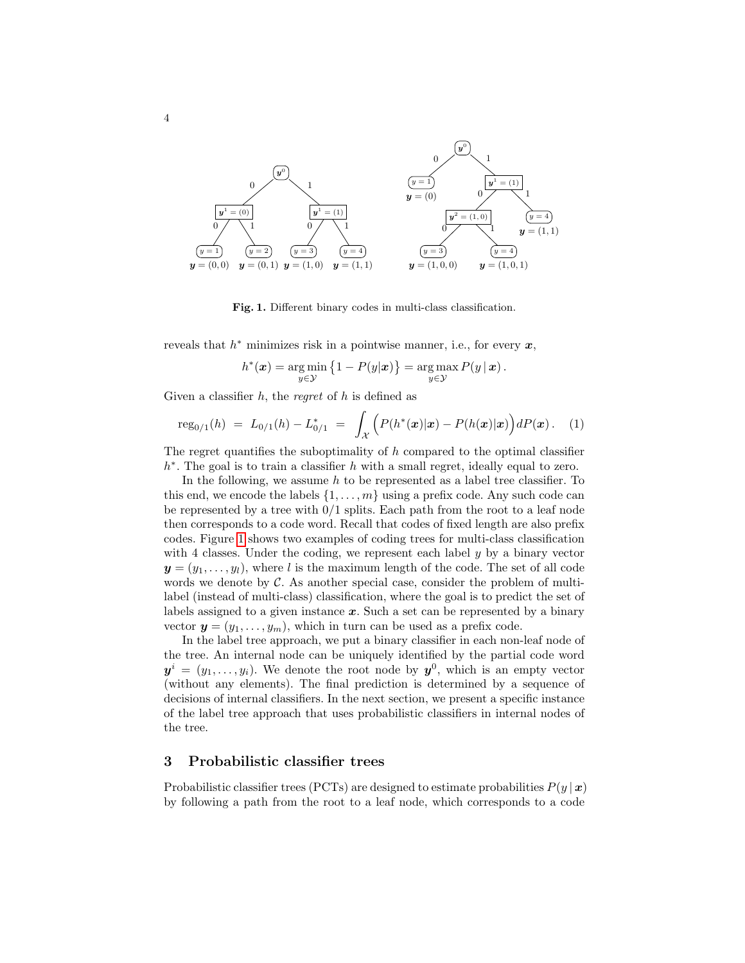

<span id="page-3-1"></span>Fig. 1. Different binary codes in multi-class classification.

reveals that  $h^*$  minimizes risk in a pointwise manner, i.e., for every  $x$ ,

$$
h^*(\boldsymbol{x}) = \arg\min_{y \in \mathcal{Y}} \left\{ 1 - P(y|\boldsymbol{x}) \right\} = \arg\max_{y \in \mathcal{Y}} P(y | \boldsymbol{x}).
$$

Given a classifier h, the regret of h is defined as

<span id="page-3-2"></span>
$$
reg_{0/1}(h) = L_{0/1}(h) - L_{0/1}^{*} = \int_{\mathcal{X}} \Big( P(h^{*}(\boldsymbol{x})|\boldsymbol{x}) - P(h(\boldsymbol{x})|\boldsymbol{x}) \Big) dP(\boldsymbol{x}). \quad (1)
$$

The regret quantifies the suboptimality of  $h$  compared to the optimal classifier  $h^*$ . The goal is to train a classifier h with a small regret, ideally equal to zero.

In the following, we assume  $h$  to be represented as a label tree classifier. To this end, we encode the labels  $\{1, \ldots, m\}$  using a prefix code. Any such code can be represented by a tree with  $0/1$  splits. Each path from the root to a leaf node then corresponds to a code word. Recall that codes of fixed length are also prefix codes. Figure [1](#page-3-1) shows two examples of coding trees for multi-class classification with 4 classes. Under the coding, we represent each label y by a binary vector  $y = (y_1, \ldots, y_l)$ , where l is the maximum length of the code. The set of all code words we denote by  $\mathcal C$ . As another special case, consider the problem of multilabel (instead of multi-class) classification, where the goal is to predict the set of labels assigned to a given instance  $x$ . Such a set can be represented by a binary vector  $y = (y_1, \ldots, y_m)$ , which in turn can be used as a prefix code.

In the label tree approach, we put a binary classifier in each non-leaf node of the tree. An internal node can be uniquely identified by the partial code word  $y^{i} = (y_{1},...,y_{i})$ . We denote the root node by  $y^{0}$ , which is an empty vector (without any elements). The final prediction is determined by a sequence of decisions of internal classifiers. In the next section, we present a specific instance of the label tree approach that uses probabilistic classifiers in internal nodes of the tree.

## <span id="page-3-0"></span>3 Probabilistic classifier trees

Probabilistic classifier trees (PCTs) are designed to estimate probabilities  $P(y | x)$ by following a path from the root to a leaf node, which corresponds to a code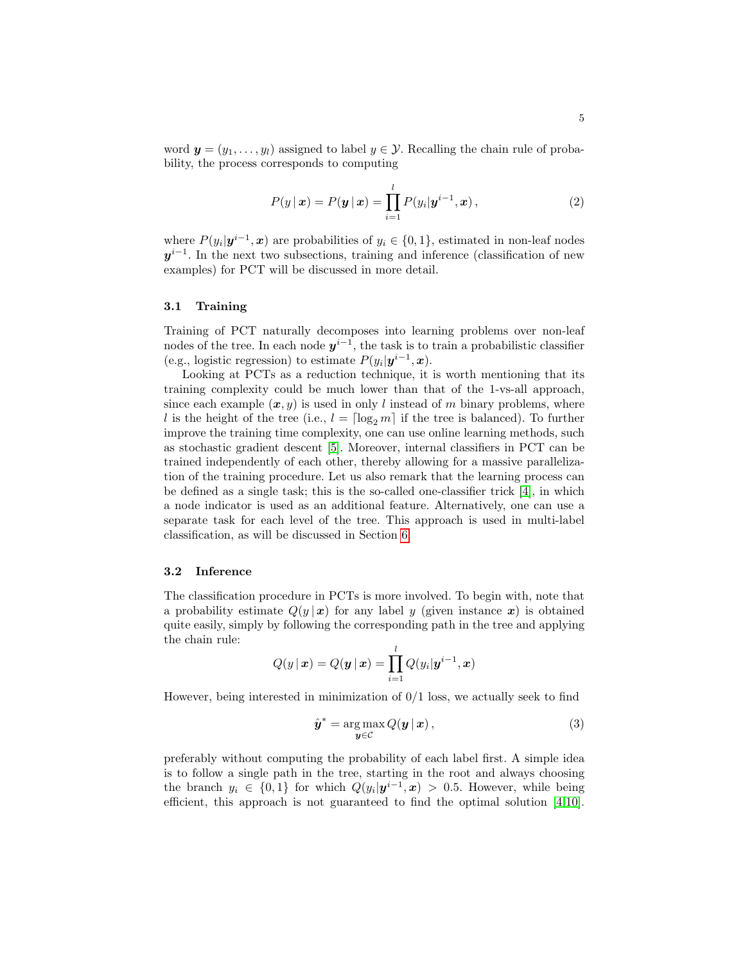word  $y = (y_1, \ldots, y_l)$  assigned to label  $y \in \mathcal{Y}$ . Recalling the chain rule of probability, the process corresponds to computing

$$
P(y \mid \boldsymbol{x}) = P(\boldsymbol{y} \mid \boldsymbol{x}) = \prod_{i=1}^{l} P(y_i | \boldsymbol{y}^{i-1}, \boldsymbol{x}), \qquad (2)
$$

where  $P(y_i|\mathbf{y}^{i-1}, \mathbf{x})$  are probabilities of  $y_i \in \{0, 1\}$ , estimated in non-leaf nodes  $y^{i-1}$ . In the next two subsections, training and inference (classification of new examples) for PCT will be discussed in more detail.

#### 3.1 Training

Training of PCT naturally decomposes into learning problems over non-leaf nodes of the tree. In each node  $y^{i-1}$ , the task is to train a probabilistic classifier (e.g., logistic regression) to estimate  $P(y_i|\mathbf{y}^{i-1}, \mathbf{x})$ .

Looking at PCTs as a reduction technique, it is worth mentioning that its training complexity could be much lower than that of the 1-vs-all approach, since each example  $(x, y)$  is used in only l instead of m binary problems, where l is the height of the tree (i.e.,  $l = \lceil \log_2 m \rceil$  if the tree is balanced). To further improve the training time complexity, one can use online learning methods, such as stochastic gradient descent [\[5\]](#page-15-15). Moreover, internal classifiers in PCT can be trained independently of each other, thereby allowing for a massive parallelization of the training procedure. Let us also remark that the learning process can be defined as a single task; this is the so-called one-classifier trick [\[4\]](#page-15-7), in which a node indicator is used as an additional feature. Alternatively, one can use a separate task for each level of the tree. This approach is used in multi-label classification, as will be discussed in Section [6.](#page-11-0)

#### <span id="page-4-1"></span>3.2 Inference

The classification procedure in PCTs is more involved. To begin with, note that a probability estimate  $Q(y | x)$  for any label y (given instance x) is obtained quite easily, simply by following the corresponding path in the tree and applying the chain rule:

$$
Q(y \,|\, \boldsymbol{x}) = Q(\boldsymbol{y} \,|\, \boldsymbol{x}) = \prod_{i=1}^{l} Q(y_i | \boldsymbol{y}^{i-1}, \boldsymbol{x})
$$

However, being interested in minimization of  $0/1$  loss, we actually seek to find

<span id="page-4-0"></span>
$$
\hat{\boldsymbol{y}}^* = \underset{\boldsymbol{y} \in \mathcal{C}}{\arg \max} Q(\boldsymbol{y} \,|\, \boldsymbol{x}), \tag{3}
$$

preferably without computing the probability of each label first. A simple idea is to follow a single path in the tree, starting in the root and always choosing the branch  $y_i \in \{0,1\}$  for which  $Q(y_i|\mathbf{y}^{i-1}, \mathbf{x}) > 0.5$ . However, while being efficient, this approach is not guaranteed to find the optimal solution [\[4,](#page-15-7)[10\]](#page-15-8).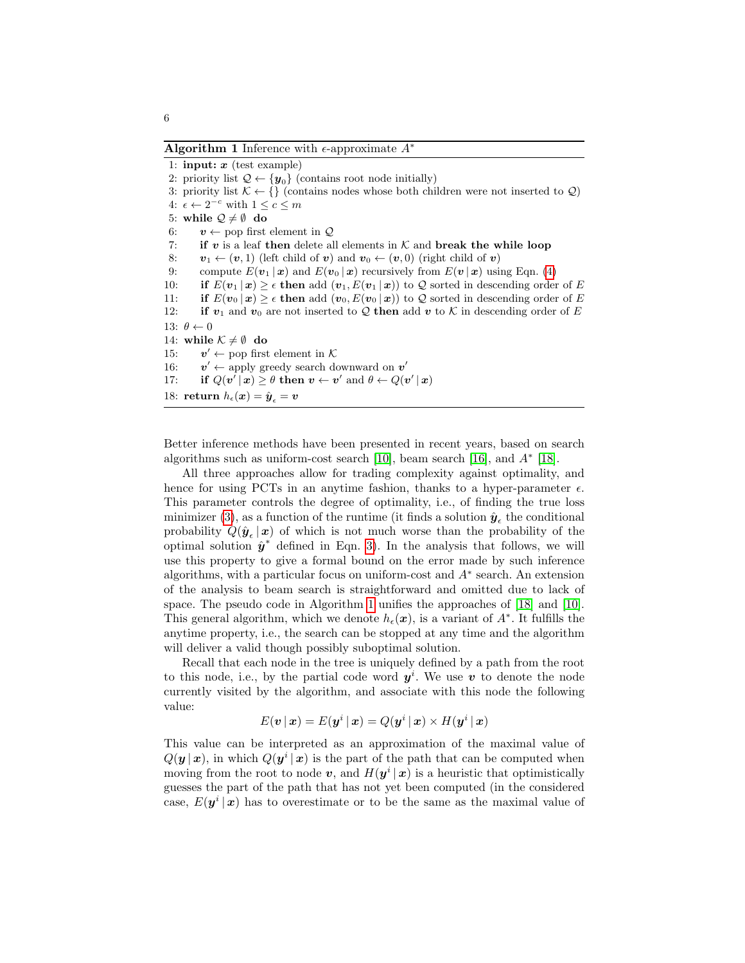<span id="page-5-0"></span>Algorithm 1 Inference with  $\epsilon$ -approximate  $A^*$ 

1: input:  $x$  (test example) 2: priority list  $\mathcal{Q} \leftarrow {\{\boldsymbol{y}_0\}}$  (contains root node initially) 3: priority list  $K \leftarrow \{\}$  (contains nodes whose both children were not inserted to Q) 4:  $\epsilon \leftarrow 2^{-c}$  with  $1 \leq c \leq m$ 5: while  $\mathcal{Q} \neq \emptyset$  do 6:  $v \leftarrow$  pop first element in Q 7: if v is a leaf then delete all elements in  $\mathcal K$  and break the while loop 8:  $v_1 \leftarrow (v, 1)$  (left child of v) and  $v_0 \leftarrow (v, 0)$  (right child of v) 9: compute  $E(\mathbf{v}_1 | \mathbf{x})$  and  $E(\mathbf{v}_0 | \mathbf{x})$  recursively from  $E(\mathbf{v} | \mathbf{x})$  using Eqn. [\(4\)](#page-6-0) 10: if  $E(\mathbf{v}_1 | \mathbf{x}) \geq \epsilon$  then add  $(\mathbf{v}_1, E(\mathbf{v}_1 | \mathbf{x}))$  to Q sorted in descending order of E 11: if  $E(\mathbf{v}_0 | \mathbf{x}) \ge \epsilon$  then add  $(\mathbf{v}_0, E(\mathbf{v}_0 | \mathbf{x}))$  to Q sorted in descending order of E 12: if  $v_1$  and  $v_0$  are not inserted to Q then add v to K in descending order of E 13:  $\theta \leftarrow 0$ 14: while  $\mathcal{K} \neq \emptyset$  do  $15:$  $v' \leftarrow$  pop first element in K  $16:$  $\prime$   $\leftarrow$  apply greedy search downward on  $v'$ 17: if  $Q(\mathbf{v}' | \mathbf{x}) \geq \theta$  then  $\mathbf{v} \leftarrow \mathbf{v}'$  and  $\theta \leftarrow Q(\mathbf{v}' | \mathbf{x})$ 18: return  $h_{\epsilon}(x) = \hat{y}_{\epsilon} = v$ 

Better inference methods have been presented in recent years, based on search algorithms such as uniform-cost search  $[10]$ , beam search  $[16]$ , and  $A^*$   $[18]$ .

All three approaches allow for trading complexity against optimality, and hence for using PCTs in an anytime fashion, thanks to a hyper-parameter  $\epsilon$ . This parameter controls the degree of optimality, i.e., of finding the true loss minimizer [\(3\)](#page-4-0), as a function of the runtime (it finds a solution  $\hat{y}_{\epsilon}$  the conditional probability  $Q(\hat{\boldsymbol{y}}_{\epsilon} | \boldsymbol{x})$  of which is not much worse than the probability of the optimal solution  $\hat{y}^*$  defined in Eqn. [3\)](#page-4-0). In the analysis that follows, we will use this property to give a formal bound on the error made by such inference algorithms, with a particular focus on uniform-cost and  $A^*$  search. An extension of the analysis to beam search is straightforward and omitted due to lack of space. The pseudo code in Algorithm [1](#page-5-0) unifies the approaches of [\[18\]](#page-15-11) and [\[10\]](#page-15-8). This general algorithm, which we denote  $h_{\epsilon}(\boldsymbol{x})$ , is a variant of  $A^*$ . It fulfills the anytime property, i.e., the search can be stopped at any time and the algorithm will deliver a valid though possibly suboptimal solution.

Recall that each node in the tree is uniquely defined by a path from the root to this node, i.e., by the partial code word  $y^i$ . We use v to denote the node currently visited by the algorithm, and associate with this node the following value:

$$
E(\boldsymbol{v} \,|\, \boldsymbol{x}) = E(\boldsymbol{y}^i \,|\, \boldsymbol{x}) = Q(\boldsymbol{y}^i \,|\, \boldsymbol{x}) \times H(\boldsymbol{y}^i \,|\, \boldsymbol{x})
$$

This value can be interpreted as an approximation of the maximal value of  $Q(\mathbf{y} | \mathbf{x})$ , in which  $Q(\mathbf{y}^i | \mathbf{x})$  is the part of the path that can be computed when moving from the root to node v, and  $H(y^i|x)$  is a heuristic that optimistically guesses the part of the path that has not yet been computed (in the considered case,  $E(\mathbf{y}^i|\mathbf{x})$  has to overestimate or to be the same as the maximal value of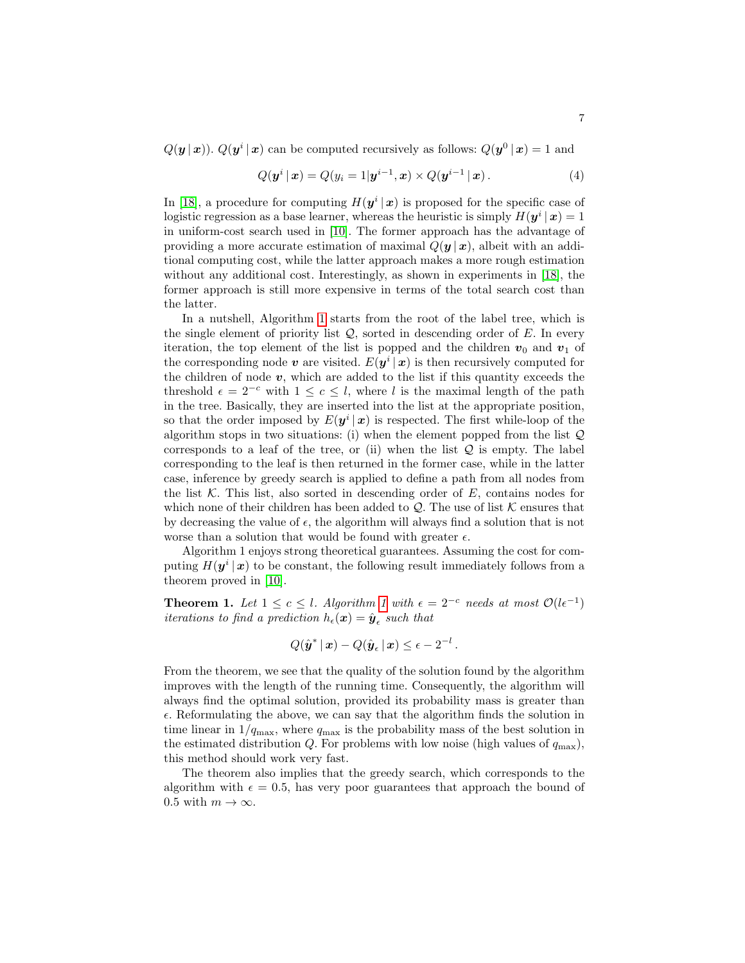$Q(\mathbf{y} \mid \mathbf{x})$ ).  $Q(\mathbf{y}^i \mid \mathbf{x})$  can be computed recursively as follows:  $Q(\mathbf{y}^0 \mid \mathbf{x}) = 1$  and

<span id="page-6-0"></span>
$$
Q(\boldsymbol{y}^{i} \,|\, \boldsymbol{x}) = Q(y_i = 1 | \boldsymbol{y}^{i-1}, \boldsymbol{x}) \times Q(\boldsymbol{y}^{i-1} \,|\, \boldsymbol{x}). \tag{4}
$$

In [\[18\]](#page-15-11), a procedure for computing  $H(\mathbf{y}^i|\mathbf{x})$  is proposed for the specific case of logistic regression as a base learner, whereas the heuristic is simply  $H(\mathbf{y}^i | \mathbf{x}) = 1$ in uniform-cost search used in [\[10\]](#page-15-8). The former approach has the advantage of providing a more accurate estimation of maximal  $Q(\mathbf{y} | \mathbf{x})$ , albeit with an additional computing cost, while the latter approach makes a more rough estimation without any additional cost. Interestingly, as shown in experiments in [\[18\]](#page-15-11), the former approach is still more expensive in terms of the total search cost than the latter.

In a nutshell, Algorithm [1](#page-5-0) starts from the root of the label tree, which is the single element of priority list  $Q$ , sorted in descending order of  $E$ . In every iteration, the top element of the list is popped and the children  $v_0$  and  $v_1$  of the corresponding node v are visited.  $E(\mathbf{y}^i|\mathbf{x})$  is then recursively computed for the children of node  $v$ , which are added to the list if this quantity exceeds the threshold  $\epsilon = 2^{-c}$  with  $1 \leq c \leq l$ , where l is the maximal length of the path in the tree. Basically, they are inserted into the list at the appropriate position, so that the order imposed by  $E(\mathbf{y}^i|\mathbf{x})$  is respected. The first while-loop of the algorithm stops in two situations: (i) when the element popped from the list  $\mathcal Q$ corresponds to a leaf of the tree, or (ii) when the list  $Q$  is empty. The label corresponding to the leaf is then returned in the former case, while in the latter case, inference by greedy search is applied to define a path from all nodes from the list  $K$ . This list, also sorted in descending order of  $E$ , contains nodes for which none of their children has been added to  $Q$ . The use of list  $K$  ensures that by decreasing the value of  $\epsilon$ , the algorithm will always find a solution that is not worse than a solution that would be found with greater  $\epsilon$ .

Algorithm 1 enjoys strong theoretical guarantees. Assuming the cost for computing  $H(\mathbf{y}^i|\mathbf{x})$  to be constant, the following result immediately follows from a theorem proved in [\[10\]](#page-15-8).

**Theorem [1](#page-5-0).** Let  $1 \leq c \leq l$ . Algorithm 1 with  $\epsilon = 2^{-c}$  needs at most  $\mathcal{O}(l\epsilon^{-1})$ iterations to find a prediction  $h_{\epsilon}(\boldsymbol{x}) = \hat{\boldsymbol{y}}_{\epsilon}$  such that

<span id="page-6-1"></span>
$$
Q(\hat{\boldsymbol{y}}^* | \boldsymbol{x}) - Q(\hat{\boldsymbol{y}}_{\epsilon} | \boldsymbol{x}) \leq \epsilon - 2^{-l}.
$$

From the theorem, we see that the quality of the solution found by the algorithm improves with the length of the running time. Consequently, the algorithm will always find the optimal solution, provided its probability mass is greater than  $\epsilon$ . Reformulating the above, we can say that the algorithm finds the solution in time linear in  $1/q_{\text{max}}$ , where  $q_{\text{max}}$  is the probability mass of the best solution in the estimated distribution Q. For problems with low noise (high values of  $q_{\text{max}}$ ), this method should work very fast.

The theorem also implies that the greedy search, which corresponds to the algorithm with  $\epsilon = 0.5$ , has very poor guarantees that approach the bound of 0.5 with  $m \to \infty$ .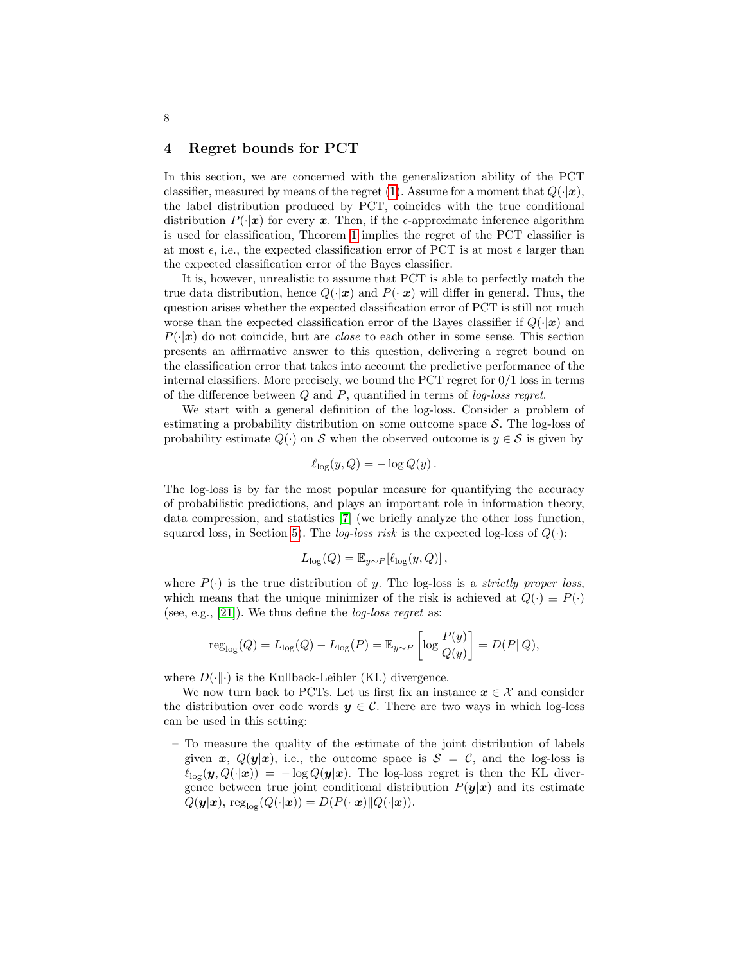### <span id="page-7-0"></span>4 Regret bounds for PCT

In this section, we are concerned with the generalization ability of the PCT classifier, measured by means of the regret [\(1\)](#page-3-2). Assume for a moment that  $Q(\cdot|x)$ , the label distribution produced by PCT, coincides with the true conditional distribution  $P(\cdot|\mathbf{x})$  for every x. Then, if the  $\epsilon$ -approximate inference algorithm is used for classification, Theorem [1](#page-6-1) implies the regret of the PCT classifier is at most  $\epsilon$ , i.e., the expected classification error of PCT is at most  $\epsilon$  larger than the expected classification error of the Bayes classifier.

It is, however, unrealistic to assume that PCT is able to perfectly match the true data distribution, hence  $Q(\cdot|\mathbf{x})$  and  $P(\cdot|\mathbf{x})$  will differ in general. Thus, the question arises whether the expected classification error of PCT is still not much worse than the expected classification error of the Bayes classifier if  $Q(\cdot|\mathbf{x})$  and  $P(\cdot|\mathbf{x})$  do not coincide, but are *close* to each other in some sense. This section presents an affirmative answer to this question, delivering a regret bound on the classification error that takes into account the predictive performance of the internal classifiers. More precisely, we bound the  $PCT$  regret for  $0/1$  loss in terms of the difference between  $Q$  and  $P$ , quantified in terms of *log-loss regret*.

We start with a general definition of the log-loss. Consider a problem of estimating a probability distribution on some outcome space  $S$ . The log-loss of probability estimate  $Q(\cdot)$  on S when the observed outcome is  $y \in S$  is given by

$$
\ell_{\log}(y, Q) = -\log Q(y).
$$

The log-loss is by far the most popular measure for quantifying the accuracy of probabilistic predictions, and plays an important role in information theory, data compression, and statistics [\[7\]](#page-15-16) (we briefly analyze the other loss function, squared loss, in Section [5\)](#page-10-0). The *log-loss risk* is the expected log-loss of  $Q(\cdot)$ :

$$
L_{\log}(Q) = \mathbb{E}_{y \sim P} [\ell_{\log}(y, Q)],
$$

where  $P(\cdot)$  is the true distribution of y. The log-loss is a *strictly proper loss*, which means that the unique minimizer of the risk is achieved at  $Q(\cdot) \equiv P(\cdot)$ (see, e.g., [\[21\]](#page-15-17)). We thus define the *log-loss regret* as:

$$
reg_{log}(Q) = L_{log}(Q) - L_{log}(P) = \mathbb{E}_{y \sim P} \left[ log \frac{P(y)}{Q(y)} \right] = D(P||Q),
$$

where  $D(\cdot\|\cdot)$  is the Kullback-Leibler (KL) divergence.

We now turn back to PCTs. Let us first fix an instance  $x \in \mathcal{X}$  and consider the distribution over code words  $y \in \mathcal{C}$ . There are two ways in which log-loss can be used in this setting:

– To measure the quality of the estimate of the joint distribution of labels given x,  $Q(y|x)$ , i.e., the outcome space is  $S = C$ , and the log-loss is  $\ell_{\log}(y, Q(\cdot|x)) = -\log Q(y|x)$ . The log-loss regret is then the KL divergence between true joint conditional distribution  $P(y|x)$  and its estimate  $Q(\mathbf{y}|\mathbf{x})$ , reg<sub>log</sub> $(Q(\cdot|\mathbf{x})) = D(P(\cdot|\mathbf{x})||Q(\cdot|\mathbf{x})).$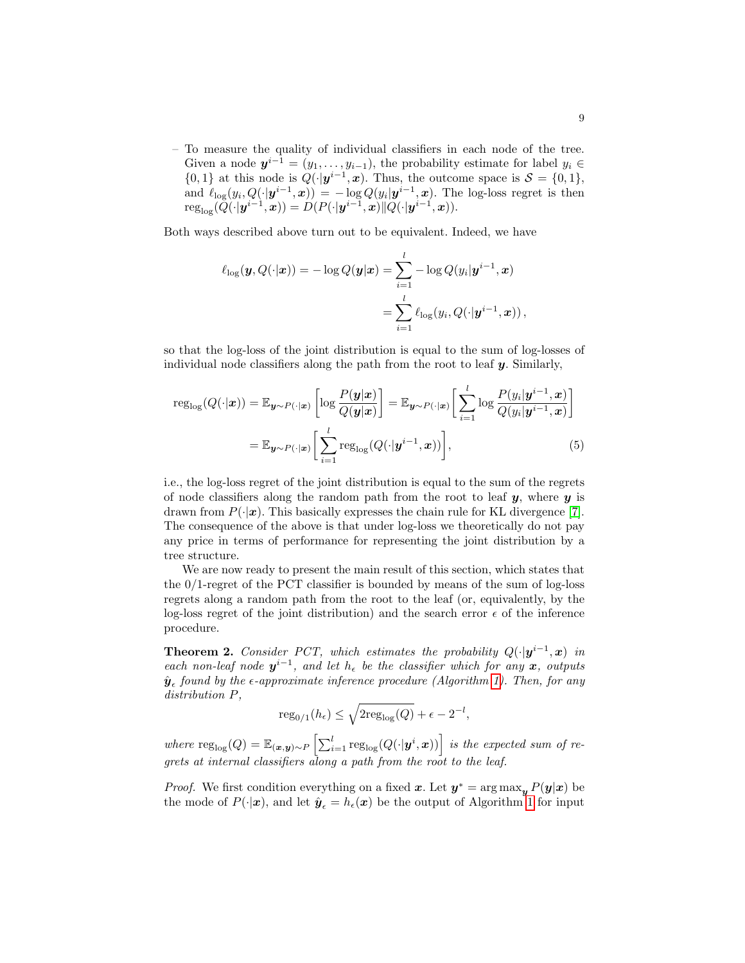– To measure the quality of individual classifiers in each node of the tree. Given a node  $y^{i-1} = (y_1, \ldots, y_{i-1})$ , the probability estimate for label  $y_i \in$  $\{0,1\}$  at this node is  $Q(\cdot|\mathbf{y}^{i-1}, \mathbf{x})$ . Thus, the outcome space is  $\mathcal{S} = \{0,1\},\$ and  $\ell_{\log}(y_i, Q(\cdot | \boldsymbol{y}^{i-1}, \boldsymbol{x})) = -\log Q(y_i | \boldsymbol{y}^{i-1}, \boldsymbol{x})$ . The log-loss regret is then  $\mathrm{reg}_{\mathrm{log}}(\bar{Q}(\cdot|\boldsymbol{y}^{i-1},\boldsymbol{x}))=D(P(\cdot|\boldsymbol{y}^{i-1},\boldsymbol{x})\|Q(\cdot|\boldsymbol{y}^{i-1},\boldsymbol{x})).$ 

Both ways described above turn out to be equivalent. Indeed, we have

<span id="page-8-0"></span>
$$
\ell_{\log}(\boldsymbol{y}, Q(\cdot|\boldsymbol{x})) = -\log Q(\boldsymbol{y}|\boldsymbol{x}) = \sum_{i=1}^{l} -\log Q(y_i|\boldsymbol{y}^{i-1}, \boldsymbol{x})
$$

$$
= \sum_{i=1}^{l} \ell_{\log}(y_i, Q(\cdot|\boldsymbol{y}^{i-1}, \boldsymbol{x})),
$$

so that the log-loss of the joint distribution is equal to the sum of log-losses of individual node classifiers along the path from the root to leaf  $y$ . Similarly,

$$
\operatorname{reg}_{\log}(Q(\cdot|\boldsymbol{x})) = \mathbb{E}_{\boldsymbol{y} \sim P(\cdot|\boldsymbol{x})} \left[ \log \frac{P(\boldsymbol{y}|\boldsymbol{x})}{Q(\boldsymbol{y}|\boldsymbol{x})} \right] = \mathbb{E}_{\boldsymbol{y} \sim P(\cdot|\boldsymbol{x})} \left[ \sum_{i=1}^{l} \log \frac{P(y_i|\boldsymbol{y}^{i-1}, \boldsymbol{x})}{Q(y_i|\boldsymbol{y}^{i-1}, \boldsymbol{x})} \right]
$$

$$
= \mathbb{E}_{\boldsymbol{y} \sim P(\cdot|\boldsymbol{x})} \left[ \sum_{i=1}^{l} \operatorname{reg}_{\log}(Q(\cdot|\boldsymbol{y}^{i-1}, \boldsymbol{x})) \right], \tag{5}
$$

i.e., the log-loss regret of the joint distribution is equal to the sum of the regrets of node classifiers along the random path from the root to leaf  $y$ , where  $y$  is drawn from  $P(\cdot|\mathbf{x})$ . This basically expresses the chain rule for KL divergence [\[7\]](#page-15-16). The consequence of the above is that under log-loss we theoretically do not pay any price in terms of performance for representing the joint distribution by a tree structure.

We are now ready to present the main result of this section, which states that the 0/1-regret of the PCT classifier is bounded by means of the sum of log-loss regrets along a random path from the root to the leaf (or, equivalently, by the log-loss regret of the joint distribution) and the search error  $\epsilon$  of the inference procedure.

<span id="page-8-1"></span>**Theorem 2.** Consider PCT, which estimates the probability  $Q(\cdot|\mathbf{y}^{i-1}, \mathbf{x})$  in each non-leaf node  $y^{i-1}$ , and let  $h_{\epsilon}$  be the classifier which for any  $x$ , outputs  $\hat{\bm{y}}_{\epsilon}$  found by the  $\epsilon$ -approximate inference procedure (Algorithm [1\)](#page-5-0). Then, for any distribution P,

$$
\mathrm{reg}_{0/1}(h_\epsilon) \leq \sqrt{2 \mathrm{reg}_{\log}(Q)} + \epsilon - 2^{-l},
$$

where  $\text{reg}_{\text{log}}(Q) = \mathbb{E}_{(\bm{x}, \bm{y}) \sim P} \left[ \sum_{i=1}^{l} \text{reg}_{\text{log}}(Q(\cdot | \bm{y}^i, \bm{x})) \right]$  is the expected sum of regrets at internal classifiers along a path from the root to the leaf.

*Proof.* We first condition everything on a fixed  $x$ . Let  $y^* = \arg \max_y P(y|x)$  be the mode of  $P(\cdot|\mathbf{x})$ , and let  $\hat{\mathbf{y}}_{\epsilon} = h_{\epsilon}(\mathbf{x})$  be the output of Algorithm [1](#page-5-0) for input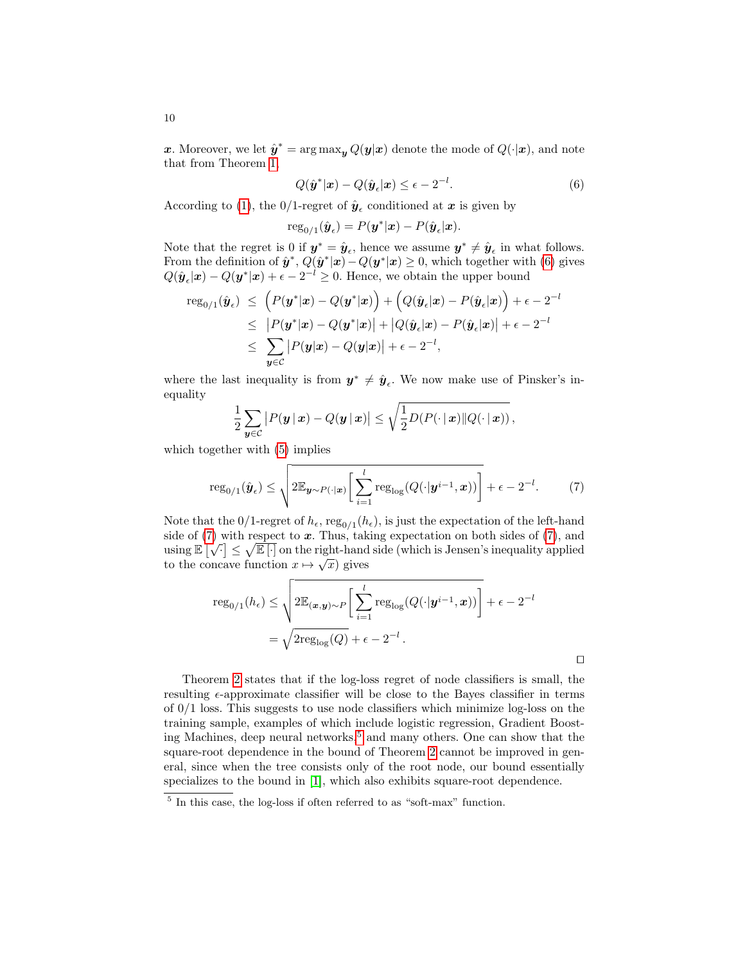x. Moreover, we let  $\hat{\mathbf{y}}^* = \arg \max_{\mathbf{y}} Q(\mathbf{y}|\mathbf{x})$  denote the mode of  $Q(\cdot|\mathbf{x})$ , and note that from Theorem [1,](#page-6-1)

<span id="page-9-0"></span>
$$
Q(\hat{\boldsymbol{y}}^*|\boldsymbol{x}) - Q(\hat{\boldsymbol{y}}_{\epsilon}|\boldsymbol{x}) \le \epsilon - 2^{-l}.
$$
\n(6)

According to [\(1\)](#page-3-2), the 0/1-regret of  $\hat{y}_\epsilon$  conditioned at  $x$  is given by

$$
\mathrm{reg}_{0/1}(\hat{\boldsymbol{y}}_{\epsilon}) = P(\boldsymbol{y}^*|\boldsymbol{x}) - P(\hat{\boldsymbol{y}}_{\epsilon}|\boldsymbol{x}).
$$

Note that the regret is 0 if  $y^* = \hat{y}_\epsilon$ , hence we assume  $y^* \neq \hat{y}_\epsilon$  in what follows. From the definition of  $\hat{\mathbf{y}}^*, Q(\hat{\mathbf{y}}^*|\mathbf{x}) - Q(\mathbf{y}^*|\mathbf{x}) \geq 0$ , which together with [\(6\)](#page-9-0) gives  $Q(\hat{\boldsymbol{y}}_{\epsilon}|\boldsymbol{x}) - Q(\boldsymbol{y}^*|\boldsymbol{x}) + \epsilon - 2^{-l} \ge 0$ . Hence, we obtain the upper bound

$$
\begin{aligned}\n\operatorname{reg}_{0/1}(\hat{\boldsymbol{y}}_{\epsilon}) &\leq \left( P(\boldsymbol{y}^*|\boldsymbol{x}) - Q(\boldsymbol{y}^*|\boldsymbol{x}) \right) + \left( Q(\hat{\boldsymbol{y}}_{\epsilon}|\boldsymbol{x}) - P(\hat{\boldsymbol{y}}_{\epsilon}|\boldsymbol{x}) \right) + \epsilon - 2^{-l} \\
&\leq \left| P(\boldsymbol{y}^*|\boldsymbol{x}) - Q(\boldsymbol{y}^*|\boldsymbol{x}) \right| + \left| Q(\hat{\boldsymbol{y}}_{\epsilon}|\boldsymbol{x}) - P(\hat{\boldsymbol{y}}_{\epsilon}|\boldsymbol{x}) \right| + \epsilon - 2^{-l} \\
&\leq \sum_{\boldsymbol{y} \in \mathcal{C}} \left| P(\boldsymbol{y}|\boldsymbol{x}) - Q(\boldsymbol{y}|\boldsymbol{x}) \right| + \epsilon - 2^{-l},\n\end{aligned}
$$

where the last inequality is from  $y^* \neq \hat{y}_\epsilon$ . We now make use of Pinsker's inequality

$$
\frac{1}{2}\sum_{\boldsymbol{y}\in\mathcal{C}}\left|P(\boldsymbol{y}\,|\,\boldsymbol{x})-Q(\boldsymbol{y}\,|\,\boldsymbol{x})\right|\leq\sqrt{\frac{1}{2}D(P(\cdot\,|\,\boldsymbol{x})\|Q(\cdot\,|\,\boldsymbol{x}))}\,,
$$

which together with  $(5)$  implies

<span id="page-9-1"></span>
$$
reg_{0/1}(\hat{\boldsymbol{y}}_{\epsilon}) \leq \sqrt{2\mathbb{E}_{\boldsymbol{y}\sim P(\cdot|\boldsymbol{x})}\bigg[\sum_{i=1}^{l} reg_{\log}(Q(\cdot|\boldsymbol{y}^{i-1},\boldsymbol{x}))\bigg]} + \epsilon - 2^{-l}.
$$
 (7)

Note that the 0/1-regret of  $h_{\epsilon}$ , reg<sub>0/1</sub>( $h_{\epsilon}$ ), is just the expectation of the left-hand side of [\(7\)](#page-9-1) with respect to x. Thus, taking expectation on both sides of (7), and using  $\mathbb{E}[\sqrt{\cdot}] \leq \sqrt{\mathbb{E}[\cdot]}$  on the right-hand side (which is Jensen's inequality applied to the concave function  $x \mapsto \sqrt{x}$  gives

$$
\operatorname{reg}_{0/1}(h_{\epsilon}) \leq \sqrt{2\mathbb{E}_{(\boldsymbol{x}, \boldsymbol{y}) \sim P} \left[ \sum_{i=1}^{l} \operatorname{reg}_{\log}(Q(\cdot | \boldsymbol{y}^{i-1}, \boldsymbol{x})) \right]} + \epsilon - 2^{-l}
$$

$$
= \sqrt{2\operatorname{reg}_{\log}(Q)} + \epsilon - 2^{-l}.
$$

Theorem [2](#page-8-1) states that if the log-loss regret of node classifiers is small, the resulting  $\epsilon$ -approximate classifier will be close to the Bayes classifier in terms of 0/1 loss. This suggests to use node classifiers which minimize log-loss on the training sample, examples of which include logistic regression, Gradient Boosting Machines, deep neural networks,  $5$  and many others. One can show that the square-root dependence in the bound of Theorem [2](#page-8-1) cannot be improved in general, since when the tree consists only of the root node, our bound essentially specializes to the bound in [\[1\]](#page-14-0), which also exhibits square-root dependence.

<span id="page-9-2"></span><sup>&</sup>lt;sup>5</sup> In this case, the log-loss if often referred to as "soft-max" function.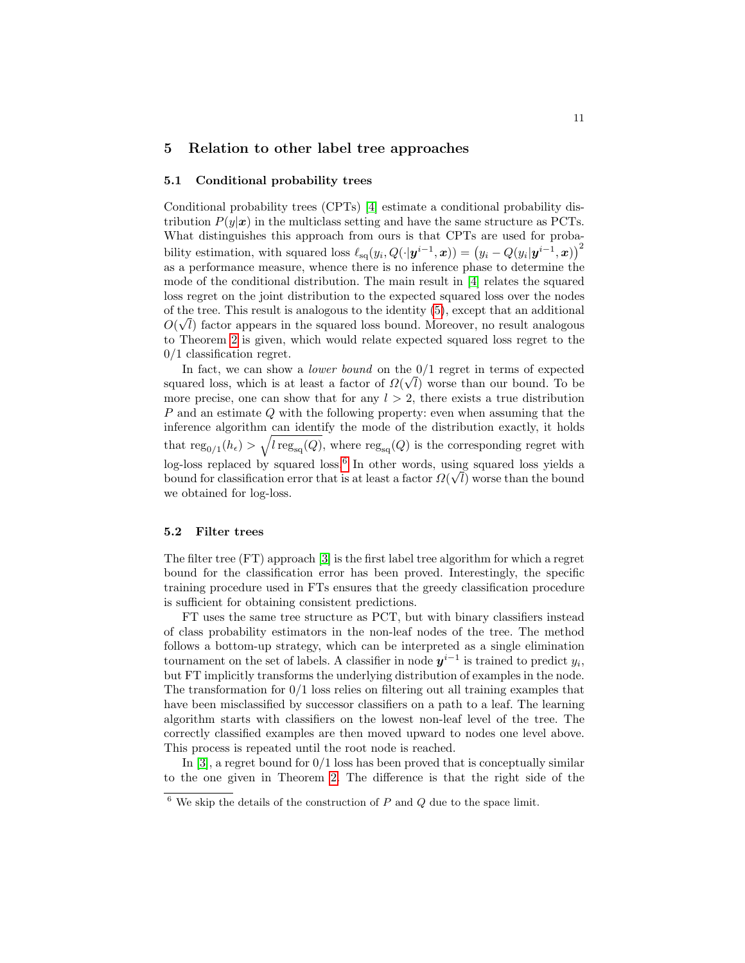## <span id="page-10-0"></span>5 Relation to other label tree approaches

### 5.1 Conditional probability trees

Conditional probability trees (CPTs) [\[4\]](#page-15-7) estimate a conditional probability distribution  $P(y|x)$  in the multiclass setting and have the same structure as PCTs. What distinguishes this approach from ours is that CPTs are used for probability estimation, with squared loss  $\ell_{sq}(y_i, Q(\cdot | y^{i-1}, x)) = (y_i - Q(y_i | y^{i-1}, x))^2$ as a performance measure, whence there is no inference phase to determine the mode of the conditional distribution. The main result in [\[4\]](#page-15-7) relates the squared loss regret on the joint distribution to the expected squared loss over the nodes of the tree. This result is analogous to the identity  $(5)$ , except that an additional  $O(\sqrt{l})$  factor appears in the squared loss bound. Moreover, no result analogous to Theorem [2](#page-8-1) is given, which would relate expected squared loss regret to the 0/1 classification regret.

In fact, we can show a *lower bound* on the  $0/1$  regret in terms of expected squared loss, which is at least a factor of  $\Omega(\sqrt{l})$  worse than our bound. To be more precise, one can show that for any  $l > 2$ , there exists a true distribution P and an estimate Q with the following property: even when assuming that the inference algorithm can identify the mode of the distribution exactly, it holds that  $\text{reg}_{0/1}(h_{\epsilon}) > \sqrt{\text{reg}_{\text{sq}}(Q)}$ , where  $\text{reg}_{\text{sq}}(Q)$  is the corresponding regret with log-loss replaced by squared loss.<sup>[6](#page-10-1)</sup> In other words, using squared loss yields a bound for classification error that is at least a factor  $\Omega(\sqrt{l})$  worse than the bound we obtained for log-loss.

#### 5.2 Filter trees

The filter tree (FT) approach [\[3\]](#page-15-2) is the first label tree algorithm for which a regret bound for the classification error has been proved. Interestingly, the specific training procedure used in FTs ensures that the greedy classification procedure is sufficient for obtaining consistent predictions.

FT uses the same tree structure as PCT, but with binary classifiers instead of class probability estimators in the non-leaf nodes of the tree. The method follows a bottom-up strategy, which can be interpreted as a single elimination tournament on the set of labels. A classifier in node  $y^{i-1}$  is trained to predict  $y_i$ , but FT implicitly transforms the underlying distribution of examples in the node. The transformation for  $0/1$  loss relies on filtering out all training examples that have been misclassified by successor classifiers on a path to a leaf. The learning algorithm starts with classifiers on the lowest non-leaf level of the tree. The correctly classified examples are then moved upward to nodes one level above. This process is repeated until the root node is reached.

In  $[3]$ , a regret bound for  $0/1$  loss has been proved that is conceptually similar to the one given in Theorem [2.](#page-8-1) The difference is that the right side of the

<span id="page-10-1"></span> $6$  We skip the details of the construction of P and Q due to the space limit.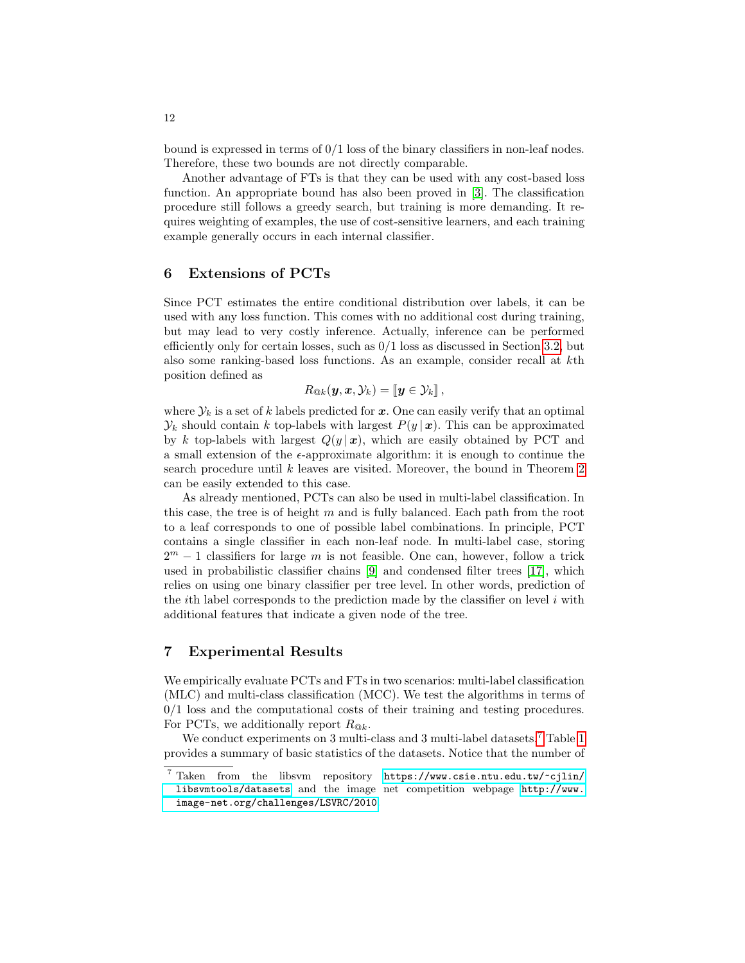bound is expressed in terms of  $0/1$  loss of the binary classifiers in non-leaf nodes. Therefore, these two bounds are not directly comparable.

Another advantage of FTs is that they can be used with any cost-based loss function. An appropriate bound has also been proved in [\[3\]](#page-15-2). The classification procedure still follows a greedy search, but training is more demanding. It requires weighting of examples, the use of cost-sensitive learners, and each training example generally occurs in each internal classifier.

## <span id="page-11-0"></span>6 Extensions of PCTs

Since PCT estimates the entire conditional distribution over labels, it can be used with any loss function. This comes with no additional cost during training, but may lead to very costly inference. Actually, inference can be performed efficiently only for certain losses, such as  $0/1$  loss as discussed in Section [3.2,](#page-4-1) but also some ranking-based loss functions. As an example, consider recall at kth position defined as

$$
R_{@k}(\boldsymbol{y},\boldsymbol{x},\mathcal{Y}_k) = [\![\boldsymbol{y}\in\mathcal{Y}_k]\!],
$$

where  $\mathcal{Y}_k$  is a set of k labels predicted for x. One can easily verify that an optimal  $\mathcal{Y}_k$  should contain k top-labels with largest  $P(y | x)$ . This can be approximated by k top-labels with largest  $Q(y | x)$ , which are easily obtained by PCT and a small extension of the  $\epsilon$ -approximate algorithm: it is enough to continue the search procedure until k leaves are visited. Moreover, the bound in Theorem [2](#page-8-1) can be easily extended to this case.

As already mentioned, PCTs can also be used in multi-label classification. In this case, the tree is of height  $m$  and is fully balanced. Each path from the root to a leaf corresponds to one of possible label combinations. In principle, PCT contains a single classifier in each non-leaf node. In multi-label case, storing  $2^m - 1$  classifiers for large m is not feasible. One can, however, follow a trick used in probabilistic classifier chains [\[9\]](#page-15-13) and condensed filter trees [\[17\]](#page-15-9), which relies on using one binary classifier per tree level. In other words, prediction of the *i*th label corresponds to the prediction made by the classifier on level  $i$  with additional features that indicate a given node of the tree.

### <span id="page-11-1"></span>7 Experimental Results

We empirically evaluate PCTs and FTs in two scenarios: multi-label classification (MLC) and multi-class classification (MCC). We test the algorithms in terms of 0/1 loss and the computational costs of their training and testing procedures. For PCTs, we additionally report  $R_{@k}$ .

We conduct experiments on 3 multi-class and 3 multi-label datasets.<sup>[7](#page-11-2)</sup> Table [1](#page-12-0) provides a summary of basic statistics of the datasets. Notice that the number of

12

<span id="page-11-2"></span> $\begin{minipage}{0.9\linewidth} \texttt{7} \texttt{Taken} \quad \texttt{from} \quad \texttt{the} \quad \texttt{libsvm} \quad \texttt{repository} \quad \texttt{https://www.csie.ntu.edu.tw/~cjlin/}{\texttt{http://www.csie.ntu.edu.tw/~cjlin/}{\texttt{http://www.csie.ntu.edu.tw/~cjlin/}{\texttt{http://www.csie.ntu.edu.tw/~cjlin/}{\texttt{http://www.csie.ntu.edu.tw/~cjlin/}{\texttt{http://www.csie.ntu.edu.tw/~cjlin/}{\texttt{http://www.csie.ntu.edu.tw/~cjlin/}{\texttt{http://www.csie.ntu.edu.tw/~cj$  $\begin{minipage}{0.9\linewidth} \texttt{7} \texttt{Taken} \quad \texttt{from} \quad \texttt{the} \quad \texttt{libsvm} \quad \texttt{repository} \quad \texttt{https://www.csie.ntu.edu.tw/~cjlin/}{\texttt{http://www.csie.ntu.edu.tw/~cjlin/}{\texttt{http://www.csie.ntu.edu.tw/~cjlin/}{\texttt{http://www.csie.ntu.edu.tw/~cjlin/}{\texttt{http://www.csie.ntu.edu.tw/~cjlin/}{\texttt{http://www.csie.ntu.edu.tw/~cjlin/}{\texttt{http://www.csie.ntu.edu.tw/~cjlin/}{\texttt{http://www.csie.ntu.edu.tw/~cj$  $\begin{minipage}{0.9\linewidth} \texttt{7} \texttt{Taken} \quad \texttt{from} \quad \texttt{the} \quad \texttt{libsvm} \quad \texttt{repository} \quad \texttt{https://www.csie.ntu.edu.tw/~cjlin/}{\texttt{http://www.csie.ntu.edu.tw/~cjlin/}{\texttt{http://www.csie.ntu.edu.tw/~cjlin/}{\texttt{http://www.csie.ntu.edu.tw/~cjlin/}{\texttt{http://www.csie.ntu.edu.tw/~cjlin/}{\texttt{http://www.csie.ntu.edu.tw/~cjlin/}{\texttt{http://www.csie.ntu.edu.tw/~cjlin/}{\texttt{http://www.csie.ntu.edu.tw/~cj$ [libsvmtools/datasets](https://www.csie.ntu.edu.tw/~cjlin/libsvmtools/datasets) and the image net competition webpage [http://www.](http://www.image-net.org/challenges/LSVRC/2010) [image-net.org/challenges/LSVRC/2010](http://www.image-net.org/challenges/LSVRC/2010).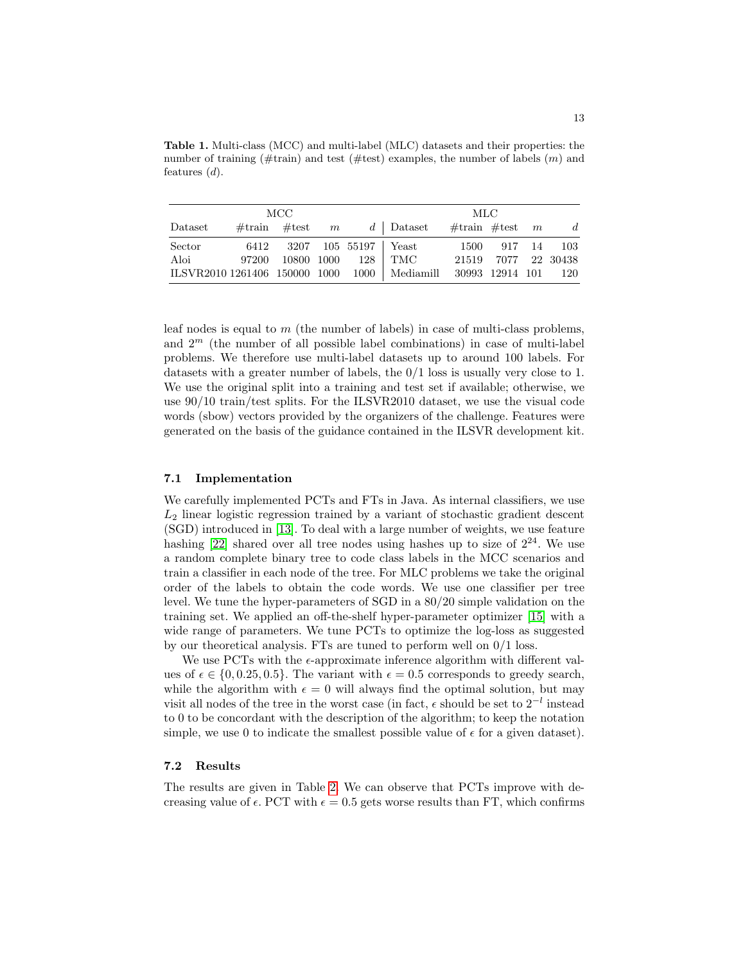|         |       | MCC                       |  | MLC |                                                |                     |                     |  |   |  |  |
|---------|-------|---------------------------|--|-----|------------------------------------------------|---------------------|---------------------|--|---|--|--|
| Dataset |       |                           |  |     | #train #test m d Dataset #train #test m        |                     |                     |  | d |  |  |
| Sector  |       | 6412 3207 105 55197 Yeast |  |     |                                                |                     | 1500 917 14 103     |  |   |  |  |
| Aloi    | 97200 |                           |  |     | $10800$ $1000$ $128$ TMC                       |                     | 21519 7077 22 30438 |  |   |  |  |
|         |       |                           |  |     | ILSVR2010 1261406 150000 1000 1000   Mediamill | 30993 12914 101 120 |                     |  |   |  |  |

<span id="page-12-0"></span>Table 1. Multi-class (MCC) and multi-label (MLC) datasets and their properties: the number of training (#train) and test (#test) examples, the number of labels  $(m)$  and features  $(d)$ .

leaf nodes is equal to  $m$  (the number of labels) in case of multi-class problems, and  $2<sup>m</sup>$  (the number of all possible label combinations) in case of multi-label problems. We therefore use multi-label datasets up to around 100 labels. For datasets with a greater number of labels, the 0/1 loss is usually very close to 1. We use the original split into a training and test set if available; otherwise, we use 90/10 train/test splits. For the ILSVR2010 dataset, we use the visual code words (sbow) vectors provided by the organizers of the challenge. Features were generated on the basis of the guidance contained in the ILSVR development kit.

#### 7.1 Implementation

We carefully implemented PCTs and FTs in Java. As internal classifiers, we use  $L_2$  linear logistic regression trained by a variant of stochastic gradient descent (SGD) introduced in [\[13\]](#page-15-18). To deal with a large number of weights, we use feature hashing [\[22\]](#page-15-19) shared over all tree nodes using hashes up to size of  $2^{24}$ . We use a random complete binary tree to code class labels in the MCC scenarios and train a classifier in each node of the tree. For MLC problems we take the original order of the labels to obtain the code words. We use one classifier per tree level. We tune the hyper-parameters of SGD in a 80/20 simple validation on the training set. We applied an off-the-shelf hyper-parameter optimizer [\[15\]](#page-15-20) with a wide range of parameters. We tune PCTs to optimize the log-loss as suggested by our theoretical analysis. FTs are tuned to perform well on 0/1 loss.

We use PCTs with the  $\epsilon$ -approximate inference algorithm with different values of  $\epsilon \in \{0, 0.25, 0.5\}$ . The variant with  $\epsilon = 0.5$  corresponds to greedy search, while the algorithm with  $\epsilon = 0$  will always find the optimal solution, but may visit all nodes of the tree in the worst case (in fact,  $\epsilon$  should be set to  $2^{-l}$  instead to 0 to be concordant with the description of the algorithm; to keep the notation simple, we use 0 to indicate the smallest possible value of  $\epsilon$  for a given dataset).

#### 7.2 Results

The results are given in Table [2.](#page-13-0) We can observe that PCTs improve with decreasing value of  $\epsilon$ . PCT with  $\epsilon = 0.5$  gets worse results than FT, which confirms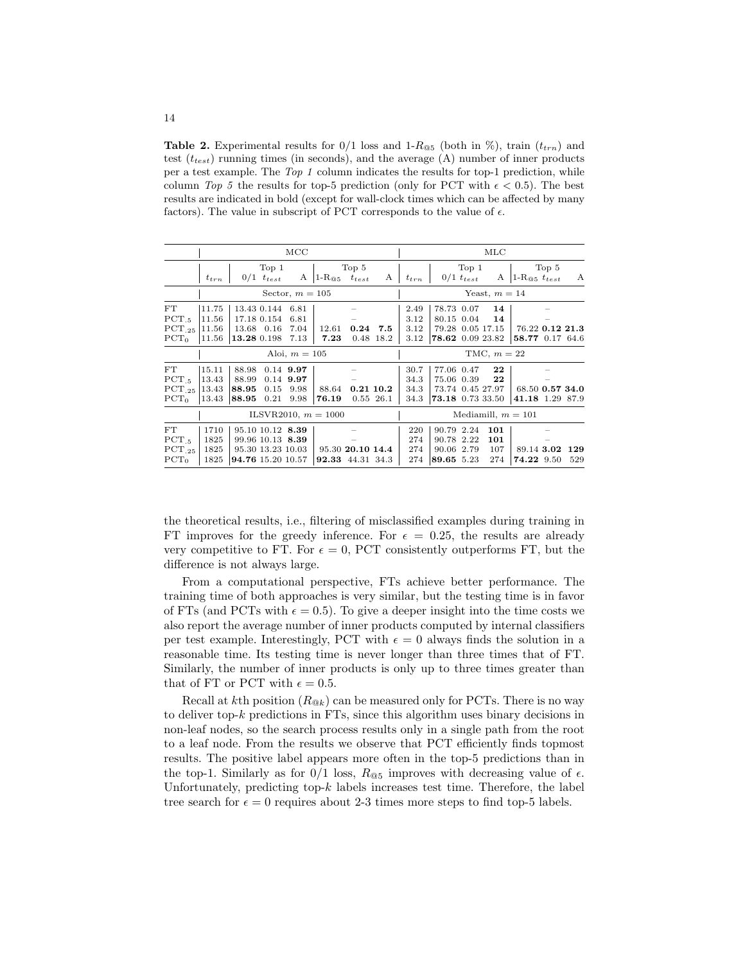<span id="page-13-0"></span>**Table 2.** Experimental results for  $0/1$  loss and  $1-R_{@5}$  (both in %), train  $(t_{trn})$  and test  $(t_{test})$  running times (in seconds), and the average (A) number of inner products per a test example. The Top 1 column indicates the results for top-1 prediction, while column Top 5 the results for top-5 prediction (only for PCT with  $\epsilon$  < 0.5). The best results are indicated in bold (except for wall-clock times which can be affected by many factors). The value in subscript of PCT corresponds to the value of  $\epsilon$ .

|                                                     | MCC                              |                                  |                                                           |                                            |                |                                      |                  |                              | MLC                                                  |                                  |                              |                                    |       |            |  |  |
|-----------------------------------------------------|----------------------------------|----------------------------------|-----------------------------------------------------------|--------------------------------------------|----------------|--------------------------------------|------------------|------------------------------|------------------------------------------------------|----------------------------------|------------------------------|------------------------------------|-------|------------|--|--|
|                                                     | $t_{trn}$                        |                                  | Top 1<br>$0/1~t_{test}$                                   | А                                          | $1-R_{@5}$     | Top 5<br>$t_{test}$                  | A                | $t_{trn}$                    |                                                      | Top 1<br>$0/1$ t <sub>test</sub> | A                            | $1-R_{@5}$ $t_{test}$              | Top 5 | А          |  |  |
|                                                     | Sector, $m = 105$                |                                  |                                                           |                                            |                |                                      |                  |                              | Yeast, $m = 14$                                      |                                  |                              |                                    |       |            |  |  |
| FT<br>$PCT_{.5}$<br>$PCT_{.25}$<br>$PCT_0$          | 11.75<br>11.56<br>11.56<br>11.56 | 13.28 0.198                      | 13.43 0.144<br>17.18 0.154<br>13.68 0.16                  | 6.81<br>6.81<br>7.04<br>7.13               | 12.61<br>7.23  | 0.24                                 | 7.5<br>0.48 18.2 | 2.49<br>3.12<br>3.12<br>3.12 | 78.73 0.07<br>80.15 0.04<br>78.62 0.09 23.82         |                                  | 14<br>14<br>79.28 0.05 17.15 | 76.22 0.12 21.3<br>58.77 0.17 64.6 |       |            |  |  |
|                                                     | Aloi, $m = 105$                  |                                  |                                                           |                                            |                |                                      |                  |                              | TMC, $m = 22$                                        |                                  |                              |                                    |       |            |  |  |
| FT<br>$PCT_{.5}$<br>$PCT_{.25}$<br>$PCT_0$          | 15.11<br>13.43<br>13.43<br>13.43 | 88.98<br>88.99<br>88.95<br>88.95 | 0.15<br>0.21                                              | $0.14$ 9.97<br>$0.14$ 9.97<br>9.98<br>9.98 | 88.64<br>76.19 | $0.21\;10.2$                         | $0.55$ 26.1      | 30.7<br>34.3<br>34.3<br>34.3 | 77.06 0.47<br>75.06 0.39<br>73.18 0.73 33.50         |                                  | 22<br>22<br>73.74 0.45 27.97 | 68.50 0.57 34.0<br>41.18 1.29 87.9 |       |            |  |  |
|                                                     | ILSVR2010, $m = 1000$            |                                  |                                                           |                                            |                |                                      |                  | Mediamill, $m = 101$         |                                                      |                                  |                              |                                    |       |            |  |  |
| FT<br>$PCT_{.5}$<br>$PCT_{.25}$<br>PCT <sub>0</sub> | 1710<br>1825<br>1825<br>1825     | 94.76 15.20 10.57                | 95.10 10.12 8.39<br>99.96 10.13 8.39<br>95.30 13.23 10.03 |                                            |                | 95.30 20.10 14.4<br>92.33 44.31 34.3 |                  | 220<br>274<br>274<br>274     | 90.79 2.24<br>90.78 2.22<br>90.06 2.79<br>89.65 5.23 |                                  | 101<br>101<br>107<br>274     | 89.14 3.02<br>74.22 9.50           |       | 129<br>529 |  |  |

the theoretical results, i.e., filtering of misclassified examples during training in FT improves for the greedy inference. For  $\epsilon = 0.25$ , the results are already very competitive to FT. For  $\epsilon = 0$ , PCT consistently outperforms FT, but the difference is not always large.

From a computational perspective, FTs achieve better performance. The training time of both approaches is very similar, but the testing time is in favor of FTs (and PCTs with  $\epsilon = 0.5$ ). To give a deeper insight into the time costs we also report the average number of inner products computed by internal classifiers per test example. Interestingly, PCT with  $\epsilon = 0$  always finds the solution in a reasonable time. Its testing time is never longer than three times that of FT. Similarly, the number of inner products is only up to three times greater than that of FT or PCT with  $\epsilon = 0.5$ .

Recall at kth position  $(R_{@k})$  can be measured only for PCTs. There is no way to deliver top- $k$  predictions in FTs, since this algorithm uses binary decisions in non-leaf nodes, so the search process results only in a single path from the root to a leaf node. From the results we observe that PCT efficiently finds topmost results. The positive label appears more often in the top-5 predictions than in the top-1. Similarly as for 0/1 loss,  $R_{\text{Q5}}$  improves with decreasing value of  $\epsilon$ . Unfortunately, predicting top- $k$  labels increases test time. Therefore, the label tree search for  $\epsilon = 0$  requires about 2-3 times more steps to find top-5 labels.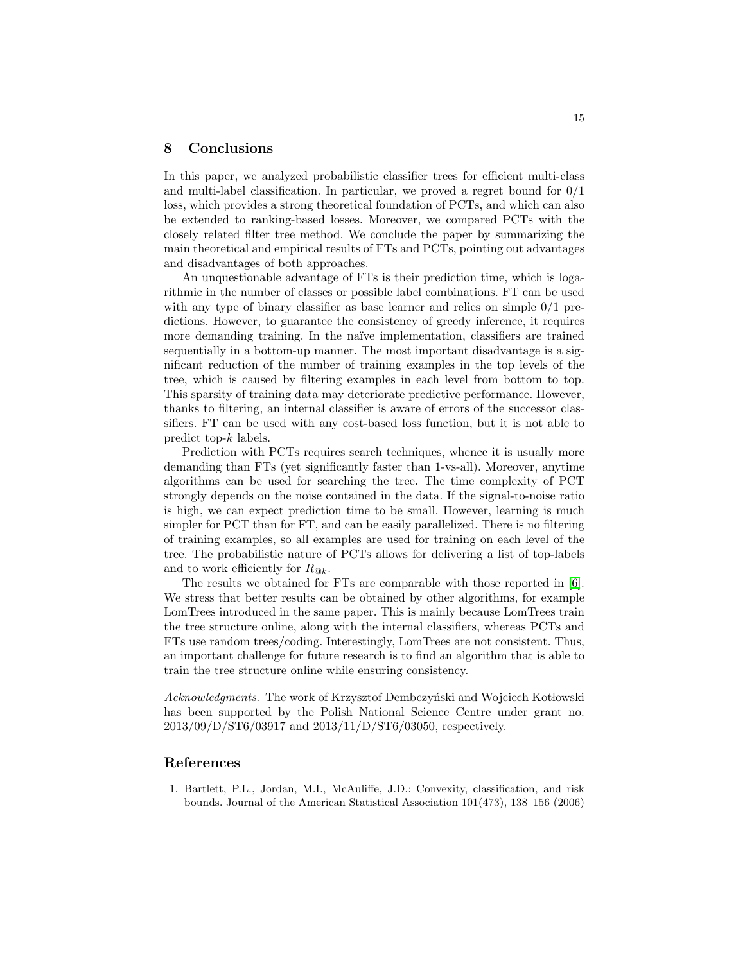### 8 Conclusions

In this paper, we analyzed probabilistic classifier trees for efficient multi-class and multi-label classification. In particular, we proved a regret bound for 0/1 loss, which provides a strong theoretical foundation of PCTs, and which can also be extended to ranking-based losses. Moreover, we compared PCTs with the closely related filter tree method. We conclude the paper by summarizing the main theoretical and empirical results of FTs and PCTs, pointing out advantages and disadvantages of both approaches.

An unquestionable advantage of FTs is their prediction time, which is logarithmic in the number of classes or possible label combinations. FT can be used with any type of binary classifier as base learner and relies on simple  $0/1$  predictions. However, to guarantee the consistency of greedy inference, it requires more demanding training. In the naïve implementation, classifiers are trained sequentially in a bottom-up manner. The most important disadvantage is a significant reduction of the number of training examples in the top levels of the tree, which is caused by filtering examples in each level from bottom to top. This sparsity of training data may deteriorate predictive performance. However, thanks to filtering, an internal classifier is aware of errors of the successor classifiers. FT can be used with any cost-based loss function, but it is not able to predict top-k labels.

Prediction with PCTs requires search techniques, whence it is usually more demanding than FTs (yet significantly faster than 1-vs-all). Moreover, anytime algorithms can be used for searching the tree. The time complexity of PCT strongly depends on the noise contained in the data. If the signal-to-noise ratio is high, we can expect prediction time to be small. However, learning is much simpler for PCT than for FT, and can be easily parallelized. There is no filtering of training examples, so all examples are used for training on each level of the tree. The probabilistic nature of PCTs allows for delivering a list of top-labels and to work efficiently for  $R_{@k}$ .

The results we obtained for FTs are comparable with those reported in [\[6\]](#page-15-21). We stress that better results can be obtained by other algorithms, for example LomTrees introduced in the same paper. This is mainly because LomTrees train the tree structure online, along with the internal classifiers, whereas PCTs and FTs use random trees/coding. Interestingly, LomTrees are not consistent. Thus, an important challenge for future research is to find an algorithm that is able to train the tree structure online while ensuring consistency.

Acknowledgments. The work of Krzysztof Dembczyński and Wojciech Kotłowski has been supported by the Polish National Science Centre under grant no. 2013/09/D/ST6/03917 and 2013/11/D/ST6/03050, respectively.

## References

<span id="page-14-0"></span>1. Bartlett, P.L., Jordan, M.I., McAuliffe, J.D.: Convexity, classification, and risk bounds. Journal of the American Statistical Association 101(473), 138–156 (2006)